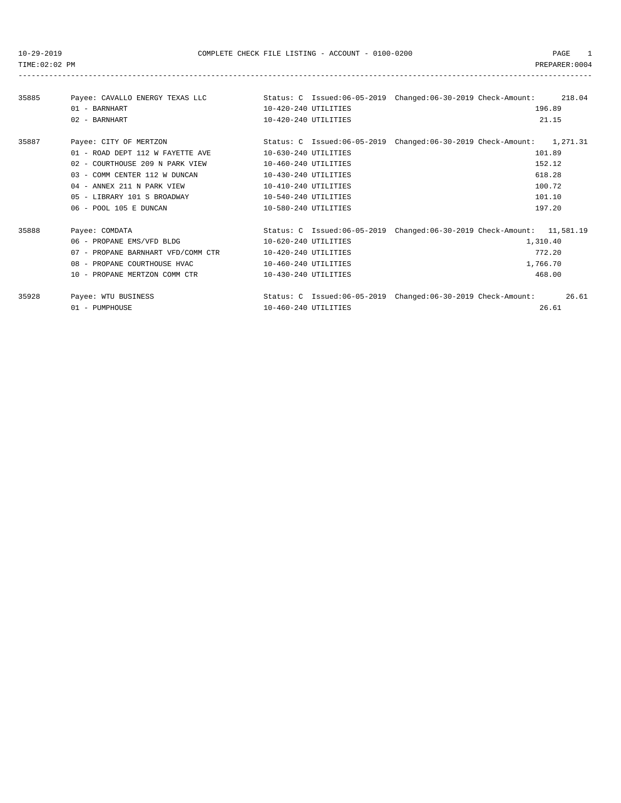-----------------------------------------------------------------------------------------------------------------------------------

| 35885 | Payee: CAVALLO ENERGY TEXAS LLC    |                      | Status: C Issued:06-05-2019 Changed:06-30-2019 Check-Amount: 218.04    |  |
|-------|------------------------------------|----------------------|------------------------------------------------------------------------|--|
|       | $01 - BARNHART$                    | 10-420-240 UTILITIES | 196.89                                                                 |  |
|       | 02 - BARNHART                      | 10-420-240 UTILITIES | 21.15                                                                  |  |
| 35887 | Payee: CITY OF MERTZON             |                      | Status: C Issued:06-05-2019 Changed:06-30-2019 Check-Amount: 1,271.31  |  |
|       | 01 - ROAD DEPT 112 W FAYETTE AVE   | 10-630-240 UTILITIES | 101.89                                                                 |  |
|       | 02 - COURTHOUSE 209 N PARK VIEW    | 10-460-240 UTILITIES | 152.12                                                                 |  |
|       | 03 - COMM CENTER 112 W DUNCAN      | 10-430-240 UTILITIES | 618.28                                                                 |  |
|       | 04 - ANNEX 211 N PARK VIEW         | 10-410-240 UTILITIES | 100.72                                                                 |  |
|       | 05 - LIBRARY 101 S BROADWAY        | 10-540-240 UTILITIES | 101.10                                                                 |  |
|       | 06 - POOL 105 E DUNCAN             | 10-580-240 UTILITIES | 197.20                                                                 |  |
| 35888 | Payee: COMDATA                     |                      | Status: C Issued:06-05-2019 Changed:06-30-2019 Check-Amount: 11,581.19 |  |
|       | 06 - PROPANE EMS/VFD BLDG          | 10-620-240 UTILITIES | 1,310.40                                                               |  |
|       | 07 - PROPANE BARNHART VFD/COMM CTR | 10-420-240 UTILITIES | 772.20                                                                 |  |
|       | 08 - PROPANE COURTHOUSE HVAC       | 10-460-240 UTILITIES | 1,766.70                                                               |  |
|       | 10 - PROPANE MERTZON COMM CTR      | 10-430-240 UTILITIES | 468.00                                                                 |  |
| 35928 | Payee: WTU BUSINESS                |                      | 26.61<br>Status: C Issued:06-05-2019 Changed:06-30-2019 Check-Amount:  |  |
|       | 01 - PUMPHOUSE                     | 10-460-240 UTILITIES | 26.61                                                                  |  |